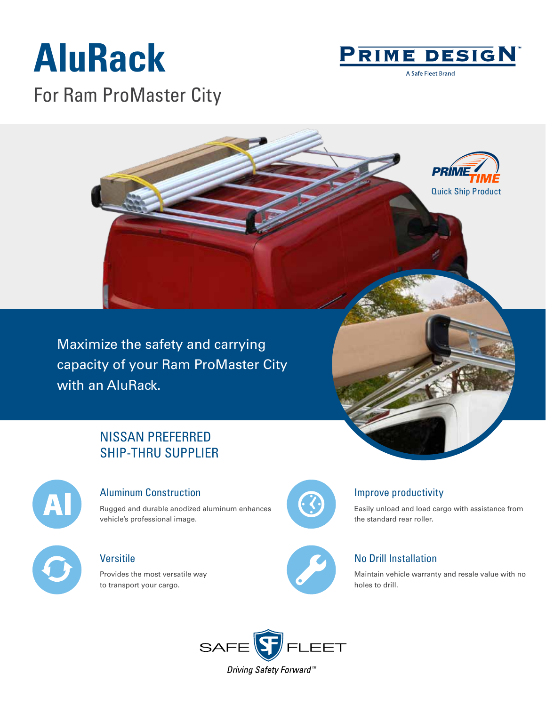## **AluRack**



A Safe Fleet Brand

For Ram ProMaster City



Maximize the safety and carrying capacity of your Ram ProMaster City with an AluRack.

### NISSAN PREFERRED SHIP-THRU SUPPLIER



#### Aluminum Construction

Rugged and durable anodized aluminum enhances vehicle's professional image.

### **Versitile**

Provides the most versatile way to transport your cargo.



#### Improve productivity

Easily unload and load cargo with assistance from the standard rear roller.

#### No Drill Installation

Maintain vehicle warranty and resale value with no holes to drill.